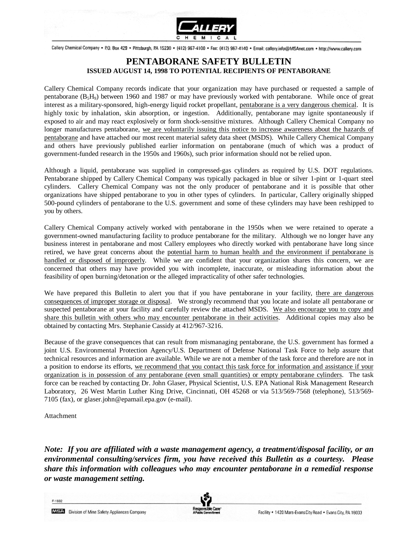

Callery Chemical Company . P.O. Box 429 . Pittsburgh, PA 15230 . (412) 967-4100 . Fax: (412) 967-4140 . Email: callery.info@MSAnet.com . http://www.callery.com

# **PENTABORANE SAFETY BULLETIN ISSUED AUGUST 14, 1998 TO POTENTIAL RECIPIENTS OF PENTABORANE**

Callery Chemical Company records indicate that your organization may have purchased or requested a sample of pentaborane (B5H9) between 1960 and 1987 or may have previously worked with pentaborane. While once of great interest as a military-sponsored, high-energy liquid rocket propellant, pentaborane is a very dangerous chemical. It is highly toxic by inhalation, skin absorption, or ingestion. Additionally, pentaborane may ignite spontaneously if exposed to air and may react explosively or form shock-sensitive mixtures. Although Callery Chemical Company no longer manufactures pentaborane, we are voluntarily issuing this notice to increase awareness about the hazards of pentaborane and have attached our most recent material safety data sheet (MSDS). While Callery Chemical Company and others have previously published earlier information on pentaborane (much of which was a product of government-funded research in the 1950s and 1960s), such prior information should not be relied upon.

Although a liquid, pentaborane was supplied in compressed-gas cylinders as required by U.S. DOT regulations. Pentaborane shipped by Callery Chemical Company was typically packaged in blue or silver 1-pint or 1-quart steel cylinders. Callery Chemical Company was not the only producer of pentaborane and it is possible that other organizations have shipped pentaborane to you in other types of cylinders. In particular, Callery originally shipped 500-pound cylinders of pentaborane to the U.S. government and some of these cylinders may have been reshipped to you by others.

Callery Chemical Company actively worked with pentaborane in the 1950s when we were retained to operate a government-owned manufacturing facility to produce pentaborane for the military. Although we no longer have any business interest in pentaborane and most Callery employees who directly worked with pentaborane have long since retired, we have great concerns about the potential harm to human health and the environment if pentaborane is handled or disposed of improperly.While we are confident that your organization shares this concern, we are concerned that others may have provided you with incomplete, inaccurate, or misleading information about the feasibility of open burning/detonation or the alleged impracticality of other safer technologies.

We have prepared this Bulletin to alert you that if you have pentaborane in your facility, there are dangerous consequences of improper storage or disposal.We strongly recommend that you locate and isolate all pentaborane or suspected pentaborane at your facility and carefully review the attached MSDS. We also encourage you to copy and share this bulletin with others who may encounter pentaborane in their activities. Additional copies may also be obtained by contacting Mrs. Stephanie Cassidy at 412/967-3216.

Because of the grave consequences that can result from mismanaging pentaborane, the U.S. government has formed a joint U.S. Environmental Protection Agency/U.S. Department of Defense National Task Force to help assure that technical resources and information are available. While we are not a member of the task force and therefore are not in a position to endorse its efforts, we recommend that you contact this task force for information and assistance if your organization is in possession of any pentaborane (even small quantities) or empty pentaborane cylinders. The task force can be reached by contacting Dr. John Glaser, Physical Scientist, U.S. EPA National Risk Management Research Laboratory, 26 West Martin Luther King Drive, Cincinnati, OH 45268 or via 513/569-7568 (telephone), 513/569- 7105 (fax), or glaser.john@epamail.epa.gov (e-mail).

**Attachment** 

 $F-1832$ 

*Note: If you are affiliated with a waste management agency, a treatment/disposal facility, or an environmental consulting/services firm, you have received this Bulletin as a courtesy. Please share this information with colleagues who may encounter pentaborane in a remedial response or waste management setting.*

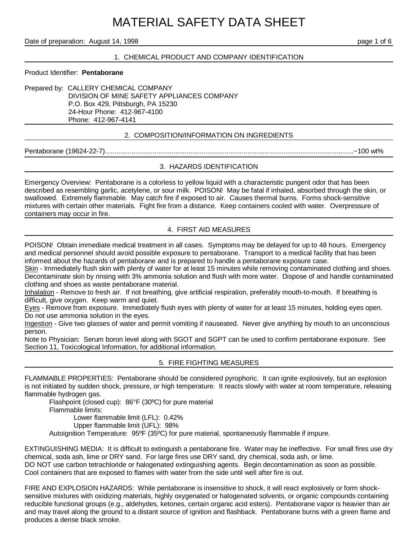# MATERIAL SAFETY DATA SHEET

#### Date of preparation: August 14, 1998 page 1 of 6

#### 1. CHEMICAL PRODUCT AND COMPANY IDENTIFICATION

#### Product Identifier: **Pentaborane**

Prepared by: CALLERY CHEMICAL COMPANY DIVISION OF MINE SAFETY APPLIANCES COMPANY P.O. Box 429, Pittsburgh, PA 15230 24-Hour Phone: 412-967-4100 Phone: 412-967-4141

#### 2. COMPOSITION/INFORMATION ON INGREDIENTS

Pentaborane (19624-22-7)...................................................................................................................................~100 wt%

#### 3. HAZARDS IDENTIFICATION

Emergency Overview: Pentaborane is a colorless to yellow liquid with a characteristic pungent odor that has been described as resembling garlic, acetylene, or sour milk. POISON! May be fatal if inhaled, absorbed through the skin, or swallowed. Extremely flammable. May catch fire if exposed to air. Causes thermal burns. Forms shock-sensitive mixtures with certain other materials. Fight fire from a distance. Keep containers cooled with water. Overpressure of containers may occur in fire.

#### 4. FIRST AID MEASURES

POISON! Obtain immediate medical treatment in all cases. Symptoms may be delayed for up to 48 hours. Emergency and medical personnel should avoid possible exposure to pentaborane. Transport to a medical facility that has been informed about the hazards of pentaborane and is prepared to handle a pentaborane exposure case.

Skin - Immediately flush skin with plenty of water for at least 15 minutes while removing contaminated clothing and shoes. Decontaminate skin by rinsing with 3% ammonia solution and flush with more water. Dispose of and handle contaminated clothing and shoes as waste pentaborane material.

Inhalation - Remove to fresh air. If not breathing, give artificial respiration, preferably mouth-to-mouth. If breathing is difficult, give oxygen. Keep warm and quiet.

Eyes - Remove from exposure. Immediately flush eyes with plenty of water for at least 15 minutes, holding eyes open. Do not use ammonia solution in the eyes.

Ingestion - Give two glasses of water and permit vomiting if nauseated. Never give anything by mouth to an unconscious person.

Note to Physician: Serum boron level along with SGOT and SGPT can be used to confirm pentaborane exposure. See Section 11, Toxicological Information, for additional information.

#### 5. FIRE FIGHTING MEASURES

FLAMMABLE PROPERTIES: Pentaborane should be considered pyrophoric. It can ignite explosively, but an explosion is not initiated by sudden shock, pressure, or high temperature. It reacts slowly with water at room temperature, releasing flammable hydrogen gas.

Flashpoint (closed cup): 86°F (30ºC) for pure material Flammable limits: Lower flammable limit (LFL): 0.42% Upper flammable limit (UFL): 98%

Autoignition Temperature: 95ºF (35ºC) for pure material, spontaneously flammable if impure.

EXTINGUISHING MEDIA: It is difficult to extinguish a pentaborane fire. Water may be ineffective. For small fires use dry chemical, soda ash, lime or DRY sand. For large fires use DRY sand, dry chemical, soda ash, or lime. DO NOT use carbon tetrachloride or halogenated extinguishing agents. Begin decontamination as soon as possible. Cool containers that are exposed to flames with water from the side until well after fire is out.

FIRE AND EXPLOSION HAZARDS: While pentaborane is insensitive to shock, it will react explosively or form shocksensitive mixtures with oxidizing materials, highly oxygenated or halogenated solvents, or organic compounds containing reducible functional groups (e.g., aldehydes, ketones, certain organic acid esters). Pentaborane vapor is heavier than air and may travel along the ground to a distant source of ignition and flashback. Pentaborane burns with a green flame and produces a dense black smoke.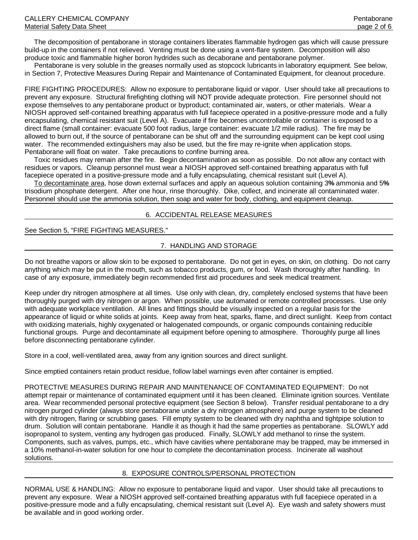The decomposition of pentaborane in storage containers liberates flammable hydrogen gas which will cause pressure build-up in the containers if not relieved. Venting must be done using a vent-flare system. Decomposition will also produce toxic and flammable higher boron hydrides such as decaborane and pentaborane polymer.

 Pentaborane is very soluble in the greases normally used as stopcock lubricants in laboratory equipment. See below, in Section 7, Protective Measures During Repair and Maintenance of Contaminated Equipment, for cleanout procedure.

FIRE FIGHTING PROCEDURES: Allow no exposure to pentaborane liquid or vapor. User should take all precautions to prevent any exposure. Structural firefighting clothing will NOT provide adequate protection. Fire personnel should not expose themselves to any pentaborane product or byproduct; contaminated air, waters, or other materials. Wear a NIOSH approved self-contained breathing apparatus with full facepiece operated in a positive-pressure mode and a fully encapsulating, chemical resistant suit (Level A). Evacuate if fire becomes uncontrollable or container is exposed to a direct flame (small container: evacuate 500 foot radius, large container: evacuate 1/2 mile radius). The fire may be allowed to burn out, if the source of pentaborane can be shut off and the surrounding equipment can be kept cool using water. The recommended extinguishers may also be used, but the fire may re-ignite when application stops. Pentaborane will float on water. Take precautions to confine burning area.

 Toxic residues may remain after the fire. Begin decontamination as soon as possible. Do not allow any contact with residues or vapors. Cleanup personnel must wear a NIOSH approved self-contained breathing apparatus with full facepiece operated in a positive-pressure mode and a fully encapsulating, chemical resistant suit (Level A).

 To decontaminate area, hose down external surfaces and apply an aqueous solution containing 3**%** ammonia and 5**%** trisodium phosphate detergent. After one hour, rinse thoroughly. Dike, collect, and incinerate all contaminated water. Personnel should use the ammonia solution, then soap and water for body, clothing, and equipment cleanup.

#### 6. ACCIDENTAL RELEASE MEASURES

#### See Section 5, "FIRE FIGHTING MEASURES."

## 7. HANDLING AND STORAGE

Do not breathe vapors or allow skin to be exposed to pentaborane. Do not get in eyes, on skin, on clothing. Do not carry anything which may be put in the mouth, such as tobacco products, gum, or food. Wash thoroughly after handling. In case of any exposure, immediately begin recommended first aid procedures and seek medical treatment.

Keep under dry nitrogen atmosphere at all times. Use only with clean, dry, completely enclosed systems that have been thoroughly purged with dry nitrogen or argon. When possible, use automated or remote controlled processes. Use only with adequate workplace ventilation. All lines and fittings should be visually inspected on a regular basis for the appearance of liquid or white solids at joints. Keep away from heat, sparks, flame, and direct sunlight. Keep from contact with oxidizing materials, highly oxygenated or halogenated compounds, or organic compounds containing reducible functional groups. Purge and decontaminate all equipment before opening to atmosphere. Thoroughly purge all lines before disconnecting pentaborane cylinder.

Store in a cool, well-ventilated area, away from any ignition sources and direct sunlight.

Since emptied containers retain product residue, follow label warnings even after container is emptied.

PROTECTIVE MEASURES DURING REPAIR AND MAINTENANCE OF CONTAMINATED EQUIPMENT: Do not attempt repair or maintenance of contaminated equipment until it has been cleaned. Eliminate ignition sources. Ventilate area. Wear recommended personal protective equipment (see Section 8 below). Transfer residual pentaborane to a dry nitrogen purged cylinder (always store pentaborane under a dry nitrogen atmosphere) and purge system to be cleaned with dry nitrogen, flaring or scrubbing gases. Fill empty system to be cleaned with dry naphtha and tightpipe solution to drum. Solution will contain pentaborane. Handle it as though it had the same properties as pentaborane. SLOWLY add isopropanol to system, venting any hydrogen gas produced. Finally, SLOWLY add methanol to rinse the system. Components, such as valves, pumps, etc., which have cavities where pentaborane may be trapped, may be immersed in a 10% methanol-in-water solution for one hour to complete the decontamination process. Incinerate all washout solutions.

#### 8. EXPOSURE CONTROLS/PERSONAL PROTECTION

NORMAL USE & HANDLING: Allow no exposure to pentaborane liquid and vapor. User should take all precautions to prevent any exposure. Wear a NIOSH approved self-contained breathing apparatus with full facepiece operated in a positive-pressure mode and a fully encapsulating, chemical resistant suit (Level A). Eye wash and safety showers must be available and in good working order.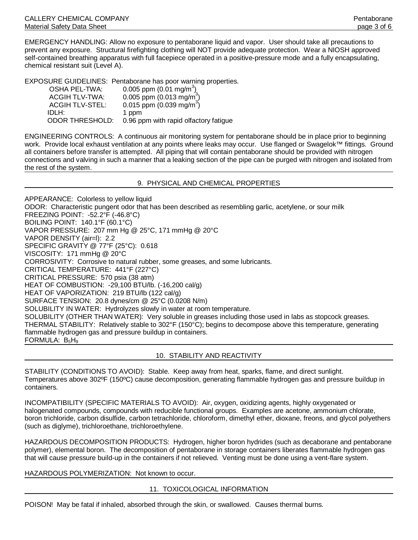EMERGENCY HANDLING: Allow no exposure to pentaborane liquid and vapor. User should take all precautions to prevent any exposure. Structural firefighting clothing will NOT provide adequate protection. Wear a NIOSH approved self-contained breathing apparatus with full facepiece operated in a positive-pressure mode and a fully encapsulating, chemical resistant suit (Level A).

EXPOSURE GUIDELINES: Pentaborane has poor warning properties.

| OSHA PEL-TWA:          | 0.005 ppm $(0.01 \text{ mg/m}^3)$<br>0.005 ppm $(0.013 \text{ mg/m}^3)$<br>0.015 ppm $(0.039 \text{ mg/m}^3)$ |
|------------------------|---------------------------------------------------------------------------------------------------------------|
| <b>ACGIH TLV-TWA:</b>  |                                                                                                               |
| <b>ACGIH TLV-STEL:</b> |                                                                                                               |
| IDLH:                  | 1 ppm                                                                                                         |
| <b>ODOR THRESHOLD:</b> | 0.96 ppm with rapid olfactory fatigue                                                                         |

ENGINEERING CONTROLS: A continuous air monitoring system for pentaborane should be in place prior to beginning work. Provide local exhaust ventilation at any points where leaks may occur. Use flanged or Swagelok™ fittings. Ground all containers before transfer is attempted. All piping that will contain pentaborane should be provided with nitrogen connections and valving in such a manner that a leaking section of the pipe can be purged with nitrogen and isolated from the rest of the system.

9. PHYSICAL AND CHEMICAL PROPERTIES

APPEARANCE: Colorless to yellow liquid ODOR: Characteristic pungent odor that has been described as resembling garlic, acetylene, or sour milk FREEZING POINT: -52.2°F (-46.8°C) BOILING POINT: 140.1°F (60.1°C) VAPOR PRESSURE: 207 mm Hg @ 25°C, 171 mmHg @ 20°C VAPOR DENSITY (air=l): 2.2 SPECIFIC GRAVITY @ 77°F (25°C): 0.618 VISCOSITY: 171 mmHg @ 20°C CORROSIVITY: Corrosive to natural rubber, some greases, and some lubricants. CRITICAL TEMPERATURE: 441°F (227°C) CRITICAL PRESSURE: 570 psia (38 atm) HEAT OF COMBUSTION: -29,100 BTU/lb. (-16,200 cal/g) HEAT OF VAPORIZATION: 219 BTU/lb (122 cal/g) SURFACE TENSION: 20.8 dynes/cm @ 25°C (0.0208 N/m) SOLUBILITY IN WATER: Hydrolyzes slowly in water at room temperature. SOLUBILITY (OTHER THAN WATER): Very soluble in greases including those used in labs as stopcock greases. THERMAL STABILITY: Relatively stable to 302°F (150°C); begins to decompose above this temperature, generating flammable hydrogen gas and pressure buildup in containers. FORMULA:  $B_5H_9$ 

#### 10. STABILITY AND REACTIVITY

STABILITY (CONDITIONS TO AVOID): Stable. Keep away from heat, sparks, flame, and direct sunlight. Temperatures above 302ºF (150ºC) cause decomposition, generating flammable hydrogen gas and pressure buildup in containers.

INCOMPATIBILITY (SPECIFIC MATERIALS TO AVOID): Air, oxygen, oxidizing agents, highly oxygenated or halogenated compounds, compounds with reducible functional groups. Examples are acetone, ammonium chlorate, boron trichloride, carbon disulfide, carbon tetrachloride, chloroform, dimethyl ether, dioxane, freons, and glycol polyethers (such as diglyme), trichloroethane, trichloroethylene.

HAZARDOUS DECOMPOSITION PRODUCTS: Hydrogen, higher boron hydrides (such as decaborane and pentaborane polymer), elemental boron. The decomposition of pentaborane in storage containers liberates flammable hydrogen gas that will cause pressure build-up in the containers if not relieved. Venting must be done using a vent-flare system.

HAZARDOUS POLYMERIZATION: Not known to occur.

#### 11. TOXICOLOGICAL INFORMATION

POISON! May be fatal if inhaled, absorbed through the skin, or swallowed. Causes thermal burns.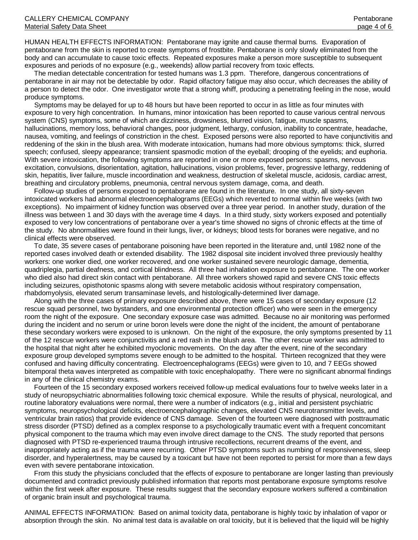HUMAN HEALTH EFFECTS INFORMATION: Pentaborane may ignite and cause thermal burns. Evaporation of pentaborane from the skin is reported to create symptoms of frostbite. Pentaborane is only slowly eliminated from the body and can accumulate to cause toxic effects. Repeated exposures make a person more susceptible to subsequent exposures and periods of no exposure (e.g., weekends) allow partial recovery from toxic effects.

 The median detectable concentration for tested humans was 1.3 ppm. Therefore, dangerous concentrations of pentaborane in air may not be detectable by odor. Rapid olfactory fatigue may also occur, which decreases the ability of a person to detect the odor. One investigator wrote that a strong whiff, producing a penetrating feeling in the nose, would produce symptoms.

 Symptoms may be delayed for up to 48 hours but have been reported to occur in as little as four minutes with exposure to very high concentration. In humans, minor intoxication has been reported to cause various central nervous system (CNS) symptoms, some of which are dizziness, drowsiness, blurred vision, fatigue, muscle spasms, hallucinations, memory loss, behavioral changes, poor judgment, lethargy, confusion, inability to concentrate, headache, nausea, vomiting, and feelings of constriction in the chest. Exposed persons were also reported to have conjunctivitis and reddening of the skin in the blush area. With moderate intoxication, humans had more obvious symptoms: thick, slurred speech; confused, sleepy appearance; transient spasmodic motion of the eyeball; drooping of the eyelids; and euphoria. With severe intoxication, the following symptoms are reported in one or more exposed persons: spasms, nervous excitation, convulsions, disorientation, agitation, hallucinations, vision problems, fever, progressive lethargy, reddening of skin, hepatitis, liver failure, muscle incoordination and weakness, destruction of skeletal muscle, acidosis, cardiac arrest, breathing and circulatory problems, pneumonia, central nervous system damage, coma, and death.

 Follow-up studies of persons exposed to pentaborane are found in the literature. In one study, all sixty-seven intoxicated workers had abnormal electroencephalograms (EEGs) which reverted to normal within five weeks (with two exceptions). No impairment of kidney function was observed over a three year period. In another study, duration of the illness was between 1 and 30 days with the average time 4 days. In a third study, sixty workers exposed and potentially exposed to very low concentrations of pentaborane over a year's time showed no signs of chronic effects at the time of the study. No abnormalities were found in their lungs, liver, or kidneys; blood tests for boranes were negative, and no clinical effects were observed.

 To date, 35 severe cases of pentaborane poisoning have been reported in the literature and, until 1982 none of the reported cases involved death or extended disability. The 1982 disposal site incident involved three previously healthy workers: one worker died, one worker recovered, and one worker sustained severe neurologic damage, dementia, quadriplegia, partial deafness, and cortical blindness. All three had inhalation exposure to pentaborane. The one worker who died also had direct skin contact with pentaborane. All three workers showed rapid and severe CNS toxic effects including seizures, opisthotonic spasms along with severe metabolic acidosis without respiratory compensation, rhabdomyolysis, elevated serum transaminase levels, and histologically-determined liver damage.

 Along with the three cases of primary exposure described above, there were 15 cases of secondary exposure (12 rescue squad personnel, two bystanders, and one environmental protection officer) who were seen in the emergency room the night of the exposure. One secondary exposure case was admitted. Because no air monitoring was performed during the incident and no serum or urine boron levels were done the night of the incident, the amount of pentaborane these secondary workers were exposed to is unknown. On the night of the exposure, the only symptoms presented by 11 of the 12 rescue workers were conjunctivitis and a red rash in the blush area. The other rescue worker was admitted to the hospital that night after he exhibited myoclonic movements. On the day after the event, nine of the secondary exposure group developed symptoms severe enough to be admitted to the hospital. Thirteen recognized that they were confused and having difficulty concentrating. Electroencephalograms (EEGs) were given to 10, and 7 EEGs showed bitemporal theta waves interpreted as compatible with toxic encephalopathy. There were no significant abnormal findings in any of the clinical chemistry exams.

 Fourteen of the 15 secondary exposed workers received follow-up medical evaluations four to twelve weeks later in a study of neuropsychiatric abnormalities following toxic chemical exposure. While the results of physical, neurological, and routine laboratory evaluations were normal, there were a number of indicators (e.g., initial and persistent psychiatric symptoms, neuropsychological deficits, electroencephalographic changes, elevated CNS neurotransmitter levels, and ventricular brain ratios) that provide evidence of CNS damage. Seven of the fourteen were diagnosed with posttraumatic stress disorder (PTSD) defined as a complex response to a psychologically traumatic event with a frequent concomitant physical component to the trauma which may even involve direct damage to the CNS. The study reported that persons diagnosed with PTSD re-experienced trauma through intrusive recollections, recurrent dreams of the event, and inappropriately acting as if the trauma were recurring. Other PTSD symptoms such as numbing of responsiveness, sleep disorder, and hyperalertness, may be caused by a toxicant but have not been reported to persist for more than a few days even with severe pentaborane intoxication.

 From this study the physicians concluded that the effects of exposure to pentaborane are longer lasting than previously documented and contradict previously published information that reports most pentaborane exposure symptoms resolve within the first week after exposure. These results suggest that the secondary exposure workers suffered a combination of organic brain insult and psychological trauma.

ANIMAL EFFECTS INFORMATION: Based on animal toxicity data, pentaborane is highly toxic by inhalation of vapor or absorption through the skin. No animal test data is available on oral toxicity, but it is believed that the liquid will be highly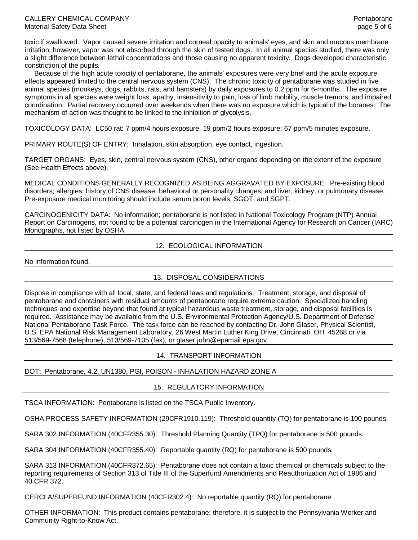toxic if swallowed. Vapor caused severe irritation and corneal opacity to animals' eyes, and skin and mucous membrane irritation; however, vapor was not absorbed through the skin of tested dogs. In all animal species studied, there was only a slight difference between lethal concentrations and those causing no apparent toxicity. Dogs developed characteristic constriction of the pupils.

 Because of the high acute toxicity of pentaborane, the animals' exposures were very brief and the acute exposure effects appeared limited to the central nervous system (CNS). The chronic toxicity of pentaborane was studied in five animal species (monkeys, dogs, rabbits, rats, and hamsters) by daily exposures to 0.2 ppm for 6-months. The exposure symptoms in all species were weight loss, apathy, insensitivity to pain, loss of limb mobility, muscle tremors, and impaired coordination. Partial recovery occurred over weekends when there was no exposure which is typical of the boranes. The mechanism of action was thought to be linked to the inhibition of glycolysis.

TOXICOLOGY DATA: LC50 rat: 7 ppm/4 hours exposure, 19 ppm/2 hours exposure; 67 ppm/5 minutes exposure.

PRIMARY ROUTE(S) OF ENTRY: Inhalation, skin absorption, eye contact, ingestion.

TARGET ORGANS: Eyes, skin, central nervous system (CNS), other organs depending on the extent of the exposure (See Health Effects above).

MEDICAL CONDITIONS GENERALLY RECOGNIZED AS BEING AGGRAVATED BY EXPOSURE: Pre-existing blood disorders; allergies; history of CNS disease, behavioral or personality changes; and liver, kidney, or pulmonary disease. Pre-exposure medical monitoring should include serum boron levels, SGOT, and SGPT.

CARCINOGENICITY DATA: No information; pentaborane is not listed in National Toxicology Program (NTP) Annual Report on Carcinogens, not found to be a potential carcinogen in the International Agency for Research on Cancer (IARC) Monographs, not listed by OSHA.

# 12. ECOLOGICAL INFORMATION

No information found.

## 13. DISPOSAL CONSIDERATIONS

Dispose in compliance with all local, state, and federal laws and regulations. Treatment, storage, and disposal of pentaborane and containers with residual amounts of pentaborane require extreme caution. Specialized handling techniques and expertise beyond that found at typical hazardous waste treatment, storage, and disposal facilities is required. Assistance may be available from the U.S. Environmental Protection Agency/U.S. Department of Defense National Pentaborane Task Force. The task force can be reached by contacting Dr. John Glaser, Physical Scientist, U.S. EPA National Risk Management Laboratory, 26 West Martin Luther King Drive, Cincinnati, OH 45268 or via 513/569-7568 (telephone), 513/569-7105 (fax), or glaser.john@epamail.epa.gov.

#### 14. TRANSPORT INFORMATION

DOT: Pentaborane, 4.2, UN1380, PGI, POISON - INHALATION HAZARD ZONE A

#### 15. REGULATORY INFORMATION

TSCA INFORMATION: Pentaborane is listed on the TSCA Public Inventory.

OSHA PROCESS SAFETY INFORMATION (29CFR1910.119): Threshold quantity (TQ) for pentaborane is 100 pounds.

SARA 302 INFORMATION (40CFR355.30): Threshold Planning Quantity (TPQ) for pentaborane is 500 pounds.

SARA 304 INFORMATION (40CFR355.40): Reportable quantity (RQ) for pentaborane is 500 pounds.

SARA 313 INFORMATION (40CFR372.65): Pentaborane does not contain a toxic chemical or chemicals subject to the reporting requirements of Section 313 of Title III of the Superfund Amendments and Reauthorization Act of 1986 and 40 CFR 372.

CERCLA/SUPERFUND INFORMATION (40CFR302.4): No reportable quantity (RQ) for pentaborane.

OTHER INFORMATION: This product contains pentaborane; therefore, it is subject to the Pennsylvania Worker and Community Right-to-Know Act.